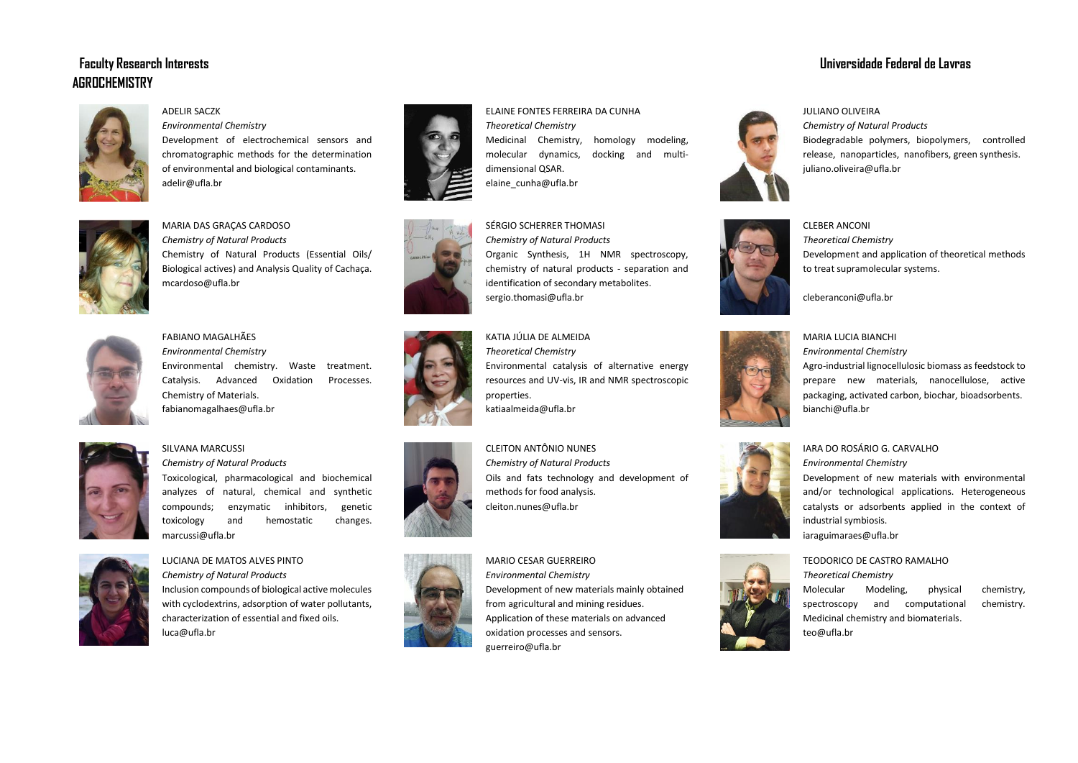# **AGROCHEMISTRY**



ADELIR SACZK

*Environmental Chemistry* Development of electrochemical sensors and chromatographic methods for the determination of environmental and biological contaminants. adelir@ufla.br



MARIA DAS GRAÇAS CARDOSO *Chemistry of Natural Products* Chemistry of Natural Products (Essential Oils/ Biological actives) and Analysis Quality of Cachaça. mcardoso@ufla.br



FABIANO MAGALHÃES *Environmental Chemistry* Environmental chemistry. Waste treatment. Catalysis. Advanced Oxidation Processes. Chemistry of Materials. fabianomagalhaes@ufla.br



# SILVANA MARCUSSI

*Chemistry of Natural Products* Toxicological, pharmacological and biochemical analyzes of natural, chemical and synthetic compounds; enzymatic inhibitors, genetic toxicology and hemostatic changes. marcussi@ufla.br



# LUCIANA DE MATOS ALVES PINTO *Chemistry of Natural Products*

Inclusion compounds of biological active molecules with cyclodextrins, adsorption of water pollutants, characterization of essential and fixed oils. luca@ufla.br





# SÉRGIO SCHERRER THOMASI

*Chemistry of Natural Products* Organic Synthesis, 1H NMR spectroscopy, chemistry of natural products - separation and identification of secondary metabolites. sergio.thomasi@ufla.br

# KATIA JÚLIA DE ALMEIDA

*Theoretical Chemistry* Environmental catalysis of alternative energy resources and UV-vis, IR and NMR spectroscopic properties. katiaalmeida@ufla.br

CLEITON ANTÔNIO NUNES *Chemistry of Natural Products* Oils and fats technology and development of methods for food analysis. cleiton.nunes@ufla.br

MARIO CESAR GUERREIRO *Environmental Chemistry* Development of new materials mainly obtained from agricultural and mining residues. Application of these materials on advanced oxidation processes and sensors. guerreiro@ufla.br

# **Faculty Research Interests Universidade Federal de Lavras**

JULIANO OLIVEIRA

*Chemistry of Natural Products* Biodegradable polymers, biopolymers, controlled release, nanoparticles, nanofibers, green synthesis. juliano.oliveira@ufla.br



CLEBER ANCONI *Theoretical Chemistry* Development and application of theoretical methods to treat supramolecular systems.

cleberanconi@ufla.br



## MARIA LUCIA BIANCHI *Environmental Chemistry* Agro-industrial lignocellulosic biomass as feedstock to prepare new materials, nanocellulose, active packaging, activated carbon, biochar, bioadsorbents. bianchi@ufla.br



### IARA DO ROSÁRIO G. CARVALHO *Environmental Chemistry*

Development of new materials with environmental and/or technological applications. Heterogeneous catalysts or adsorbents applied in the context of industrial symbiosis. iaraguimaraes@ufla.br



*Theoretical Chemistry* Molecular Modeling, physical chemistry, spectroscopy and computational chemistry. Medicinal chemistry and biomaterials. teo@ufla.br